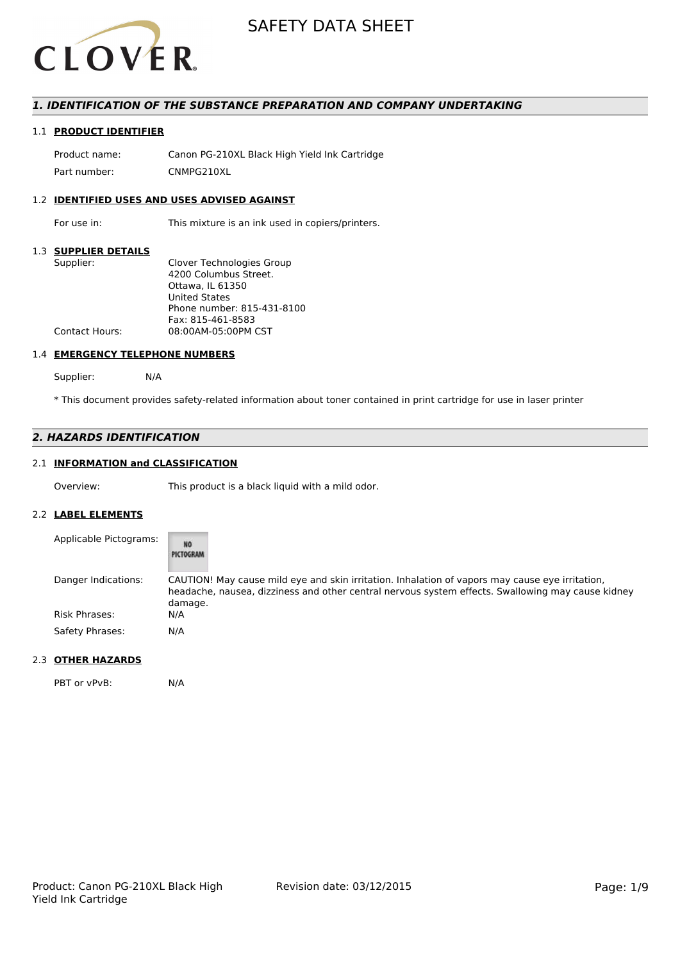

## *1. IDENTIFICATION OF THE SUBSTANCE PREPARATION AND COMPANY UNDERTAKING*

## 1.1 **PRODUCT IDENTIFIER**

Product name: Canon PG-210XL Black High Yield Ink Cartridge Part number: CNMPG210XL

#### 1.2 **IDENTIFIED USES AND USES ADVISED AGAINST**

For use in: This mixture is an ink used in copiers/printers.

#### 1.3 **SUPPLIER DETAILS**

| Supplier:             | Clover Technologies Group  |
|-----------------------|----------------------------|
|                       | 4200 Columbus Street.      |
|                       | Ottawa, IL 61350           |
|                       | <b>United States</b>       |
|                       | Phone number: 815-431-8100 |
|                       | Fax: 815-461-8583          |
| <b>Contact Hours:</b> | 08:00AM-05:00PM CST        |
|                       |                            |

#### 1.4 **EMERGENCY TELEPHONE NUMBERS**

Supplier: N/A

\* This document provides safety-related information about toner contained in print cartridge for use in laser printer

## *2. HAZARDS IDENTIFICATION*

# 2.1 **INFORMATION and CLASSIFICATION**

Overview: This product is a black liquid with a mild odor.

#### 2.2 **LABEL ELEMENTS**

| Applicable Pictograms: | <b>NO</b><br>PICTOGRAM                                                                                                                                                                                          |
|------------------------|-----------------------------------------------------------------------------------------------------------------------------------------------------------------------------------------------------------------|
| Danger Indications:    | CAUTION! May cause mild eye and skin irritation. Inhalation of vapors may cause eye irritation,<br>headache, nausea, dizziness and other central nervous system effects. Swallowing may cause kidney<br>damage. |
| Risk Phrases:          | N/A                                                                                                                                                                                                             |
| Safety Phrases:        | N/A                                                                                                                                                                                                             |

#### 2.3 **OTHER HAZARDS**

PBT or vPvB: N/A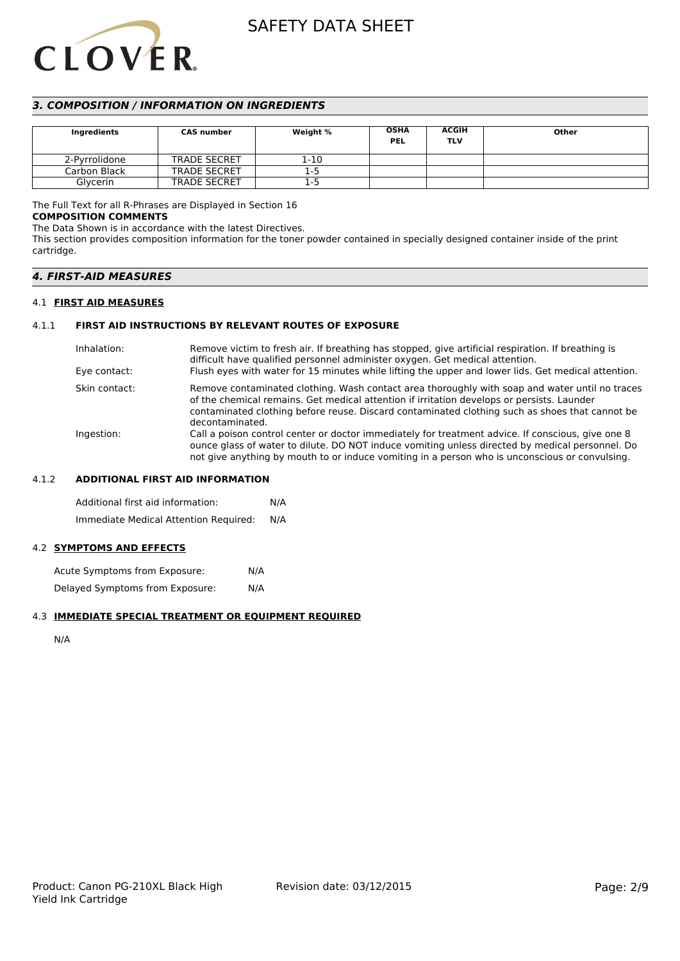# **CLOVER**

# SAFETY DATA SHEET

# *3. COMPOSITION / INFORMATION ON INGREDIENTS*

| Ingredients   | <b>CAS number</b>   | Weight % | <b>OSHA</b><br><b>PEL</b> | <b>ACGIH</b><br><b>TLV</b> | Other |
|---------------|---------------------|----------|---------------------------|----------------------------|-------|
| 2-Pyrrolidone | <b>TRADE SECRET</b> | 1-10     |                           |                            |       |
| Carbon Black  | <b>TRADE SECRET</b> | $1-5$    |                           |                            |       |
| Glycerin      | <b>TRADE SECRET</b> | 1-5      |                           |                            |       |

# The Full Text for all R-Phrases are Displayed in Section 16

#### **COMPOSITION COMMENTS**

The Data Shown is in accordance with the latest Directives.

This section provides composition information for the toner powder contained in specially designed container inside of the print cartridge.

# *4. FIRST-AID MEASURES*

#### 4.1 **FIRST AID MEASURES**

## 4.1.1 **FIRST AID INSTRUCTIONS BY RELEVANT ROUTES OF EXPOSURE**

| Inhalation:   | Remove victim to fresh air. If breathing has stopped, give artificial respiration. If breathing is<br>difficult have qualified personnel administer oxygen. Get medical attention.                                                                                                                                |
|---------------|-------------------------------------------------------------------------------------------------------------------------------------------------------------------------------------------------------------------------------------------------------------------------------------------------------------------|
| Eye contact:  | Flush eyes with water for 15 minutes while lifting the upper and lower lids. Get medical attention.                                                                                                                                                                                                               |
| Skin contact: | Remove contaminated clothing. Wash contact area thoroughly with soap and water until no traces<br>of the chemical remains. Get medical attention if irritation develops or persists. Launder<br>contaminated clothing before reuse. Discard contaminated clothing such as shoes that cannot be<br>decontaminated. |
| Ingestion:    | Call a poison control center or doctor immediately for treatment advice. If conscious, give one 8<br>ounce glass of water to dilute. DO NOT induce vomiting unless directed by medical personnel. Do<br>not give anything by mouth to or induce vomiting in a person who is unconscious or convulsing.            |

#### 4.1.2 **ADDITIONAL FIRST AID INFORMATION**

Additional first aid information: N/A Immediate Medical Attention Required: N/A

# 4.2 **SYMPTOMS AND EFFECTS**

Acute Symptoms from Exposure: N/A Delayed Symptoms from Exposure: N/A

# 4.3 **IMMEDIATE SPECIAL TREATMENT OR EQUIPMENT REQUIRED**

N/A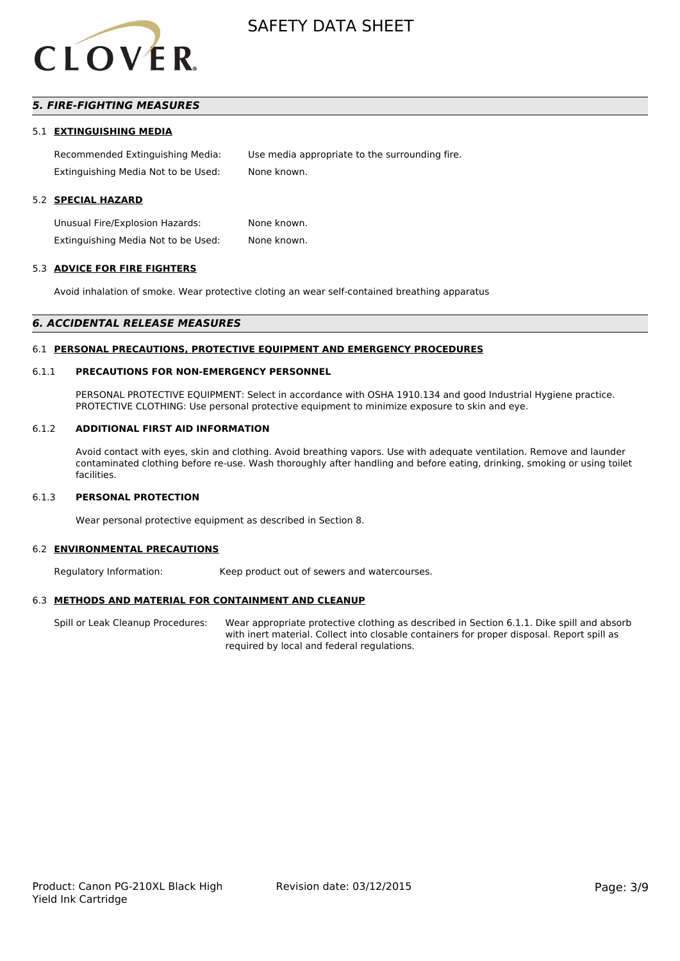

# *5. FIRE-FIGHTING MEASURES*

#### 5.1 **EXTINGUISHING MEDIA**

Recommended Extinguishing Media: Use media appropriate to the surrounding fire. Extinguishing Media Not to be Used: None known.

#### 5.2 **SPECIAL HAZARD**

Unusual Fire/Explosion Hazards: None known. Extinguishing Media Not to be Used: None known.

#### 5.3 **ADVICE FOR FIRE FIGHTERS**

Avoid inhalation of smoke. Wear protective cloting an wear self-contained breathing apparatus

#### *6. ACCIDENTAL RELEASE MEASURES*

#### 6.1 **PERSONAL PRECAUTIONS, PROTECTIVE EQUIPMENT AND EMERGENCY PROCEDURES**

#### 6.1.1 **PRECAUTIONS FOR NON-EMERGENCY PERSONNEL**

PERSONAL PROTECTIVE EQUIPMENT: Select in accordance with OSHA 1910.134 and good Industrial Hygiene practice. PROTECTIVE CLOTHING: Use personal protective equipment to minimize exposure to skin and eye.

#### 6.1.2 **ADDITIONAL FIRST AID INFORMATION**

Avoid contact with eyes, skin and clothing. Avoid breathing vapors. Use with adequate ventilation. Remove and launder contaminated clothing before re-use. Wash thoroughly after handling and before eating, drinking, smoking or using toilet facilities.

#### 6.1.3 **PERSONAL PROTECTION**

Wear personal protective equipment as described in Section 8.

#### 6.2 **ENVIRONMENTAL PRECAUTIONS**

Regulatory Information: Keep product out of sewers and watercourses.

#### 6.3 **METHODS AND MATERIAL FOR CONTAINMENT AND CLEANUP**

Spill or Leak Cleanup Procedures: Wear appropriate protective clothing as described in Section 6.1.1. Dike spill and absorb with inert material. Collect into closable containers for proper disposal. Report spill as required by local and federal regulations.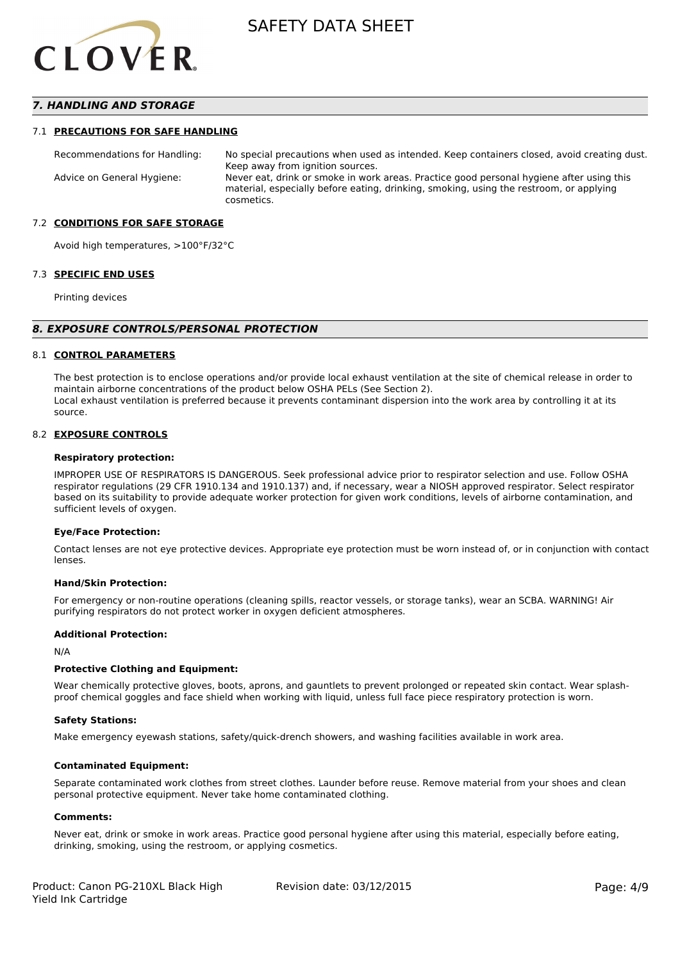

## *7. HANDLING AND STORAGE*

#### 7.1 **PRECAUTIONS FOR SAFE HANDLING**

Recommendations for Handling: No special precautions when used as intended. Keep containers closed, avoid creating dust. Keep away from ignition sources. Advice on General Hygiene: Never eat, drink or smoke in work areas. Practice good personal hygiene after using this material, especially before eating, drinking, smoking, using the restroom, or applying cosmetics.

#### 7.2 **CONDITIONS FOR SAFE STORAGE**

Avoid high temperatures, >100°F/32°C

#### 7.3 **SPECIFIC END USES**

Printing devices

#### *8. EXPOSURE CONTROLS/PERSONAL PROTECTION*

#### 8.1 **CONTROL PARAMETERS**

The best protection is to enclose operations and/or provide local exhaust ventilation at the site of chemical release in order to maintain airborne concentrations of the product below OSHA PELs (See Section 2). Local exhaust ventilation is preferred because it prevents contaminant dispersion into the work area by controlling it at its source.

#### 8.2 **EXPOSURE CONTROLS**

#### **Respiratory protection:**

IMPROPER USE OF RESPIRATORS IS DANGEROUS. Seek professional advice prior to respirator selection and use. Follow OSHA respirator regulations (29 CFR 1910.134 and 1910.137) and, if necessary, wear a NIOSH approved respirator. Select respirator based on its suitability to provide adequate worker protection for given work conditions, levels of airborne contamination, and sufficient levels of oxygen.

#### **Eye/Face Protection:**

Contact lenses are not eye protective devices. Appropriate eye protection must be worn instead of, or in conjunction with contact lenses.

#### **Hand/Skin Protection:**

For emergency or non-routine operations (cleaning spills, reactor vessels, or storage tanks), wear an SCBA. WARNING! Air purifying respirators do not protect worker in oxygen deficient atmospheres.

#### **Additional Protection:**

N/A

#### **Protective Clothing and Equipment:**

Wear chemically protective gloves, boots, aprons, and gauntlets to prevent prolonged or repeated skin contact. Wear splashproof chemical goggles and face shield when working with liquid, unless full face piece respiratory protection is worn.

#### **Safety Stations:**

Make emergency eyewash stations, safety/quick-drench showers, and washing facilities available in work area.

#### **Contaminated Equipment:**

Separate contaminated work clothes from street clothes. Launder before reuse. Remove material from your shoes and clean personal protective equipment. Never take home contaminated clothing.

#### **Comments:**

Never eat, drink or smoke in work areas. Practice good personal hygiene after using this material, especially before eating, drinking, smoking, using the restroom, or applying cosmetics.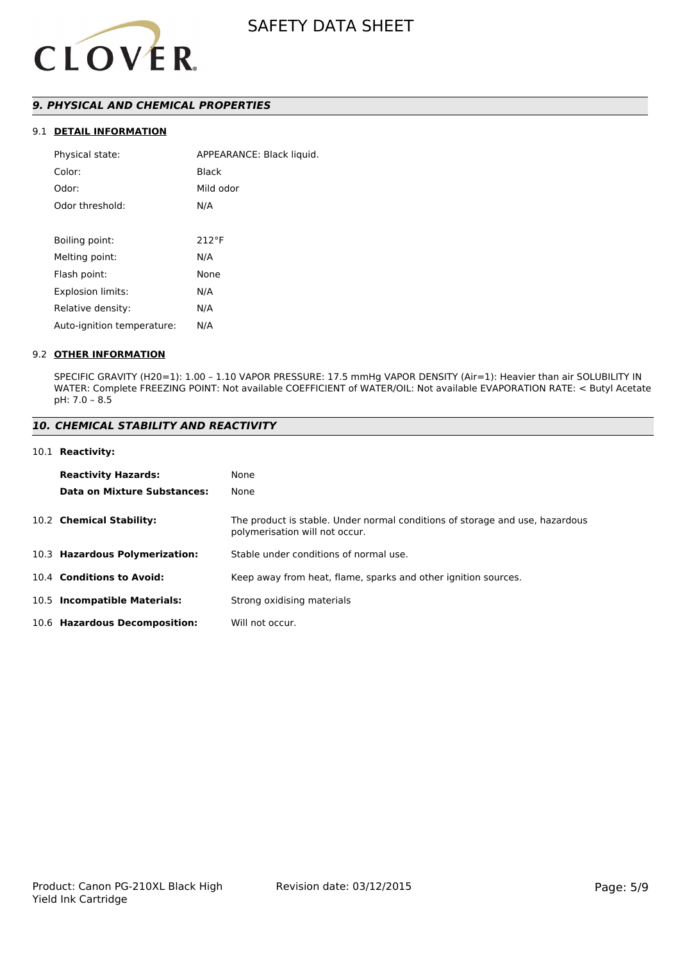

# *9. PHYSICAL AND CHEMICAL PROPERTIES*

# 9.1 **DETAIL INFORMATION**

| Physical state:            | APPEARANCE: Black liquid. |
|----------------------------|---------------------------|
| Color:                     | Black                     |
| Odor:                      | Mild odor                 |
| Odor threshold:            | N/A                       |
|                            |                           |
| Boiling point:             | $212^{\circ}F$            |
| Melting point:             | N/A                       |
| Flash point:               | None                      |
| Explosion limits:          | N/A                       |
| Relative density:          | N/A                       |
| Auto-ignition temperature: | N/A                       |
|                            |                           |

#### 9.2 **OTHER INFORMATION**

SPECIFIC GRAVITY (H20=1): 1.00 – 1.10 VAPOR PRESSURE: 17.5 mmHg VAPOR DENSITY (Air=1): Heavier than air SOLUBILITY IN WATER: Complete FREEZING POINT: Not available COEFFICIENT of WATER/OIL: Not available EVAPORATION RATE: < Butyl Acetate pH: 7.0 – 8.5

# *10. CHEMICAL STABILITY AND REACTIVITY*

#### 10.1 **Reactivity:**

| <b>Reactivity Hazards:</b>     | None                                                                                                           |
|--------------------------------|----------------------------------------------------------------------------------------------------------------|
| Data on Mixture Substances:    | None                                                                                                           |
| 10.2 Chemical Stability:       | The product is stable. Under normal conditions of storage and use, hazardous<br>polymerisation will not occur. |
| 10.3 Hazardous Polymerization: | Stable under conditions of normal use.                                                                         |
| 10.4 Conditions to Avoid:      | Keep away from heat, flame, sparks and other ignition sources.                                                 |
| 10.5 Incompatible Materials:   | Strong oxidising materials                                                                                     |
| 10.6 Hazardous Decomposition:  | Will not occur.                                                                                                |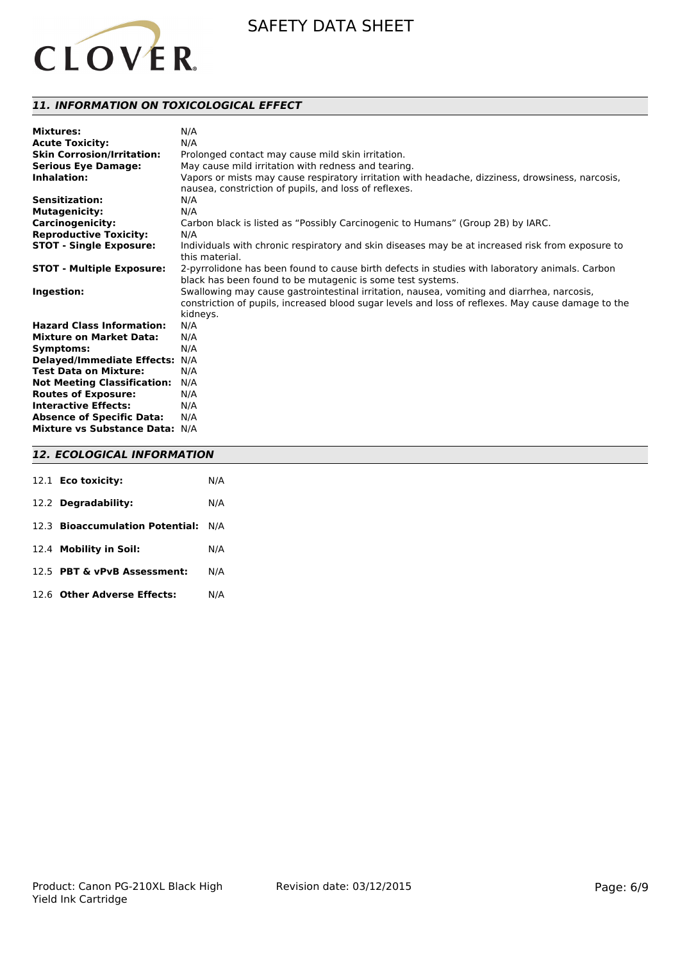

# *11. INFORMATION ON TOXICOLOGICAL EFFECT*

| <b>Mixtures:</b>                   | N/A                                                                                                |
|------------------------------------|----------------------------------------------------------------------------------------------------|
| <b>Acute Toxicity:</b>             | N/A                                                                                                |
| <b>Skin Corrosion/Irritation:</b>  | Prolonged contact may cause mild skin irritation.                                                  |
| <b>Serious Eye Damage:</b>         | May cause mild irritation with redness and tearing.                                                |
| Inhalation:                        | Vapors or mists may cause respiratory irritation with headache, dizziness, drowsiness, narcosis,   |
|                                    | nausea, constriction of pupils, and loss of reflexes.                                              |
| <b>Sensitization:</b>              | N/A                                                                                                |
| <b>Mutagenicity:</b>               | N/A                                                                                                |
| <b>Carcinogenicity:</b>            | Carbon black is listed as "Possibly Carcinogenic to Humans" (Group 2B) by IARC.                    |
| <b>Reproductive Toxicity:</b>      | N/A                                                                                                |
| <b>STOT - Single Exposure:</b>     | Individuals with chronic respiratory and skin diseases may be at increased risk from exposure to   |
|                                    | this material.                                                                                     |
| <b>STOT - Multiple Exposure:</b>   | 2-pyrrolidone has been found to cause birth defects in studies with laboratory animals. Carbon     |
|                                    | black has been found to be mutagenic is some test systems.                                         |
| Ingestion:                         | Swallowing may cause gastrointestinal irritation, nausea, vomiting and diarrhea, narcosis,         |
|                                    | constriction of pupils, increased blood sugar levels and loss of reflexes. May cause damage to the |
|                                    | kidneys.                                                                                           |
| <b>Hazard Class Information:</b>   | N/A                                                                                                |
| <b>Mixture on Market Data:</b>     | N/A                                                                                                |
| Symptoms:                          | N/A                                                                                                |
| <b>Delayed/Immediate Effects:</b>  | N/A                                                                                                |
| <b>Test Data on Mixture:</b>       | N/A                                                                                                |
| <b>Not Meeting Classification:</b> | N/A                                                                                                |
| <b>Routes of Exposure:</b>         | N/A                                                                                                |
| <b>Interactive Effects:</b>        | N/A                                                                                                |
| <b>Absence of Specific Data:</b>   | N/A                                                                                                |
| Mixture vs Substance Data: N/A     |                                                                                                    |

# *12. ECOLOGICAL INFORMATION*

| 12.1 Eco toxicity:                  | N/A |
|-------------------------------------|-----|
| 12.2 Degradability:                 | N/A |
| 12.3 Bioaccumulation Potential: N/A |     |
| 12.4 Mobility in Soil:              | N/A |
| 12.5 PBT & vPvB Assessment:         | N/A |
| 12.6 Other Adverse Effects:         | N/A |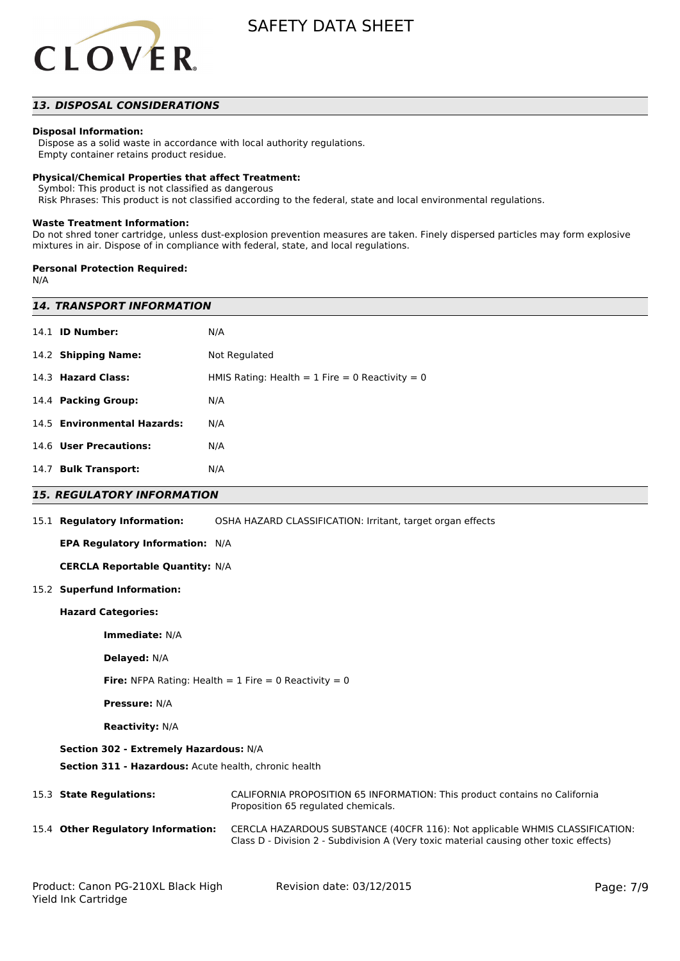

# *13. DISPOSAL CONSIDERATIONS*

#### **Disposal Information:**

 Dispose as a solid waste in accordance with local authority regulations. Empty container retains product residue.

#### **Physical/Chemical Properties that affect Treatment:**

Symbol: This product is not classified as dangerous

Risk Phrases: This product is not classified according to the federal, state and local environmental regulations.

#### **Waste Treatment Information:**

Do not shred toner cartridge, unless dust-explosion prevention measures are taken. Finely dispersed particles may form explosive mixtures in air. Dispose of in compliance with federal, state, and local regulations.

#### **Personal Protection Required:**

N/A

| <b>14. TRANSPORT INFORMATION</b>                                        |                                                                                                                                                                        |  |  |  |
|-------------------------------------------------------------------------|------------------------------------------------------------------------------------------------------------------------------------------------------------------------|--|--|--|
| 14.1 <b>ID Number:</b>                                                  | N/A                                                                                                                                                                    |  |  |  |
| 14.2 Shipping Name:                                                     | Not Regulated                                                                                                                                                          |  |  |  |
| 14.3 Hazard Class:<br>HMIS Rating: Health = $1$ Fire = 0 Reactivity = 0 |                                                                                                                                                                        |  |  |  |
| 14.4 Packing Group:                                                     | N/A                                                                                                                                                                    |  |  |  |
| 14.5 Environmental Hazards:                                             | N/A                                                                                                                                                                    |  |  |  |
| 14.6 User Precautions:                                                  | N/A                                                                                                                                                                    |  |  |  |
| 14.7 Bulk Transport:                                                    | N/A                                                                                                                                                                    |  |  |  |
| <i><b>15. REGULATORY INFORMATION</b></i>                                |                                                                                                                                                                        |  |  |  |
| 15.1 Regulatory Information:                                            | OSHA HAZARD CLASSIFICATION: Irritant, target organ effects                                                                                                             |  |  |  |
| EPA Regulatory Information: N/A                                         |                                                                                                                                                                        |  |  |  |
| <b>CERCLA Reportable Quantity: N/A</b>                                  |                                                                                                                                                                        |  |  |  |
| 15.2 Superfund Information:                                             |                                                                                                                                                                        |  |  |  |
| <b>Hazard Categories:</b>                                               |                                                                                                                                                                        |  |  |  |
| Immediate: N/A                                                          |                                                                                                                                                                        |  |  |  |
| Delayed: N/A                                                            |                                                                                                                                                                        |  |  |  |
| <b>Fire:</b> NFPA Rating: Health = 1 Fire = 0 Reactivity = 0            |                                                                                                                                                                        |  |  |  |
| <b>Pressure: N/A</b>                                                    |                                                                                                                                                                        |  |  |  |
| <b>Reactivity: N/A</b>                                                  |                                                                                                                                                                        |  |  |  |
| Section 302 - Extremely Hazardous: N/A                                  |                                                                                                                                                                        |  |  |  |
|                                                                         |                                                                                                                                                                        |  |  |  |
| 15.3 State Regulations:                                                 | CALIFORNIA PROPOSITION 65 INFORMATION: This product contains no California<br>Proposition 65 regulated chemicals.                                                      |  |  |  |
| 15.4 Other Regulatory Information:                                      | CERCLA HAZARDOUS SUBSTANCE (40CFR 116): Not applicable WHMIS CLASSIFICATION:<br>Class D - Division 2 - Subdivision A (Very toxic material causing other toxic effects) |  |  |  |
|                                                                         | Section 311 - Hazardous: Acute health, chronic health                                                                                                                  |  |  |  |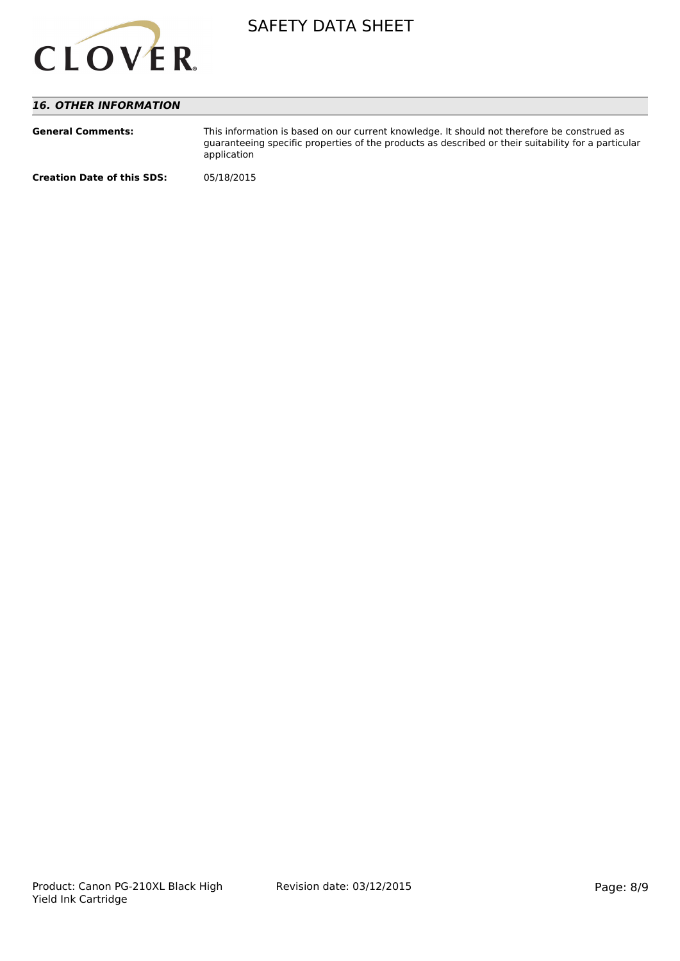

# *16. OTHER INFORMATION*

| <b>General Comments:</b>          | This information is based on our current knowledge. It should not therefore be construed as<br>quaranteeing specific properties of the products as described or their suitability for a particular<br>application |
|-----------------------------------|-------------------------------------------------------------------------------------------------------------------------------------------------------------------------------------------------------------------|
| <b>Creation Date of this SDS:</b> | 05/18/2015                                                                                                                                                                                                        |